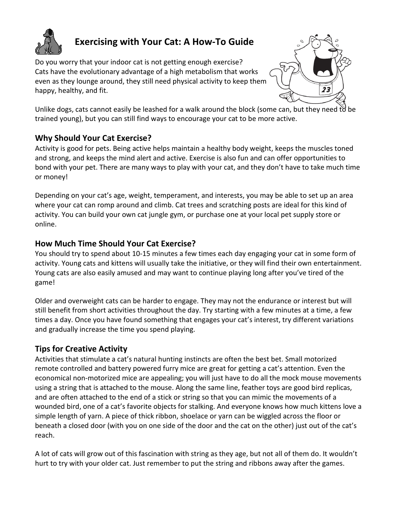

## **Exercising with Your Cat: A How-To Guide**

Do you worry that your indoor cat is not getting enough exercise? Cats have the evolutionary advantage of a high metabolism that works even as they lounge around, they still need physical activity to keep them happy, healthy, and fit.



Unlike dogs, cats cannot easily be leashed for a walk around the block (some can, but they need to be trained young), but you can still find ways to encourage your cat to be more active.

## **Why Should Your Cat Exercise?**

Activity is good for pets. Being active helps maintain a healthy body weight, keeps the muscles toned and strong, and keeps the mind alert and active. Exercise is also fun and can offer opportunities to bond with your pet. There are many ways to play with your cat, and they don't have to take much time or money!

Depending on your cat's age, weight, temperament, and interests, you may be able to set up an area where your cat can romp around and climb. Cat trees and scratching posts are ideal for this kind of activity. You can build your own cat jungle gym, or purchase one at your local pet supply store or online.

## **How Much Time Should Your Cat Exercise?**

You should try to spend about 10-15 minutes a few times each day engaging your cat in some form of activity. Young cats and kittens will usually take the initiative, or they will find their own entertainment. Young cats are also easily amused and may want to continue playing long after you've tired of the game!

Older and overweight cats can be harder to engage. They may not the endurance or interest but will still benefit from short activities throughout the day. Try starting with a few minutes at a time, a few times a day. Once you have found something that engages your cat's interest, try different variations and gradually increase the time you spend playing.

## **Tips for Creative Activity**

Activities that stimulate a cat's natural hunting instincts are often the best bet. Small motorized remote controlled and battery powered furry mice are great for getting a cat's attention. Even the economical non-motorized mice are appealing; you will just have to do all the mock mouse movements using a string that is attached to the mouse. Along the same line, feather toys are good bird replicas, and are often attached to the end of a stick or string so that you can mimic the movements of a wounded bird, one of a cat's favorite objects for stalking. And everyone knows how much kittens love a simple length of yarn. A piece of thick ribbon, shoelace or yarn can be wiggled across the floor or beneath a closed door (with you on one side of the door and the cat on the other) just out of the cat's reach.

A lot of cats will grow out of this fascination with string as they age, but not all of them do. It wouldn't hurt to try with your older cat. Just remember to put the string and ribbons away after the games.